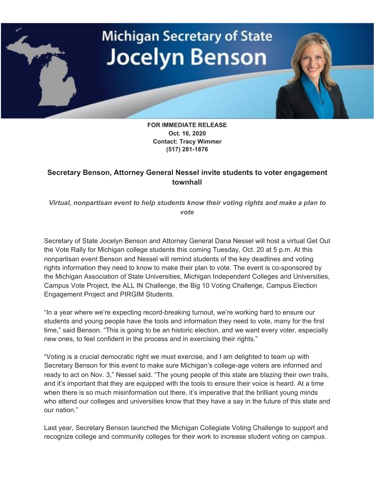## **Michigan Secretary of State Jocelyn Benson**

**FOR IMMEDIATE RELEASE Oct. 16, 2020 Contact: Tracy Wimmer (517) 281-1876**

## **Secretary Benson, Attorney General Nessel invite students to voter engagement townhall**

*Virtual, nonpartisan event to help students know their voting rights and make a plan to vote*

Secretary of State Jocelyn Benson and Attorney General Dana Nessel will host a virtual Get Out the Vote Rally for Michigan college students this coming Tuesday, Oct. 20 at 5 p.m. At this nonpartisan event Benson and Nessel will remind students of the key deadlines and voting rights information they need to know to make their plan to vote. The event is co-sponsored by the Michigan Association of State Universities, Michigan Independent Colleges and Universities, Campus Vote Project, the ALL IN Challenge, the Big 10 Voting Challenge, Campus Election Engagement Project and PIRGIM Students.

"In a year where we're expecting record-breaking turnout, we're working hard to ensure our students and young people have the tools and information they need to vote, many for the first time," said Benson. "This is going to be an historic election, and we want every voter, especially new ones, to feel confident in the process and in exercising their rights."

"Voting is a crucial democratic right we must exercise, and I am delighted to team up with Secretary Benson for this event to make sure Michigan's college-age voters are informed and ready to act on Nov. 3," Nessel said. "The young people of this state are blazing their own trails, and it's important that they are equipped with the tools to ensure their voice is heard. At a time when there is so much misinformation out there, it's imperative that the brilliant young minds who attend our colleges and universities know that they have a say in the future of this state and our nation."

Last year, Secretary Benson launched the Michigan Collegiate Voting Challenge to support and recognize college and community colleges for their work to increase student voting on campus.